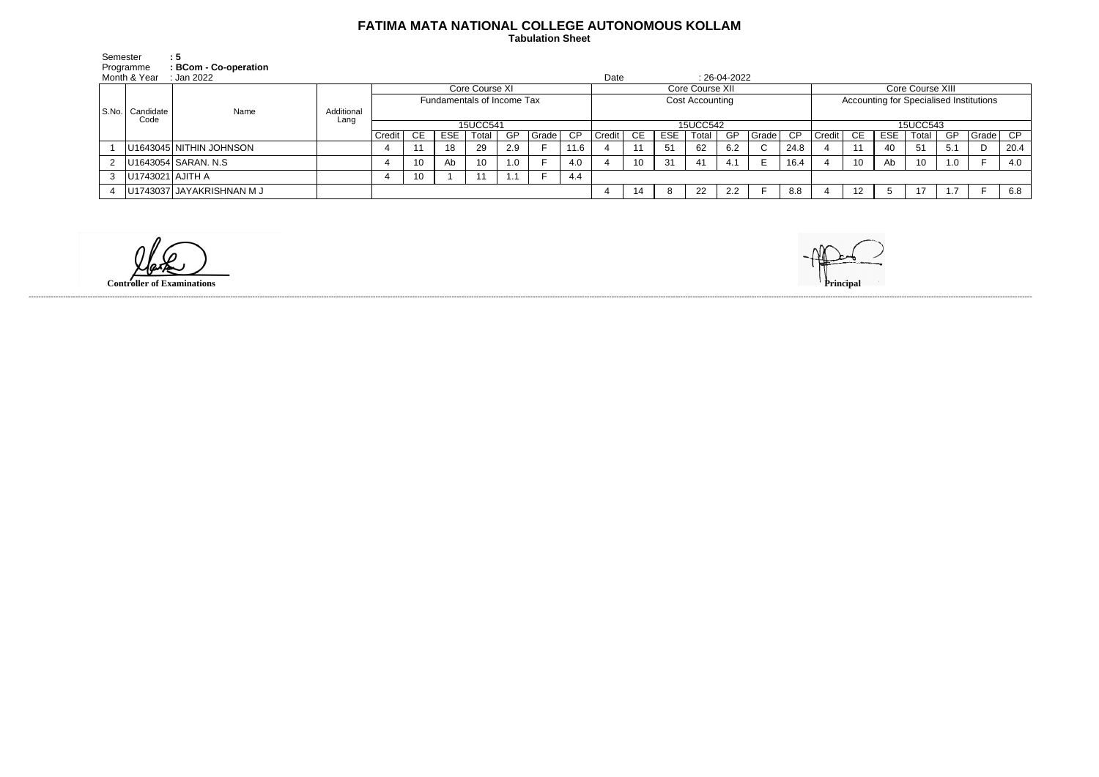## **FATIMA MATA NATIONAL COLLEGE AUTONOMOUS KOLLAM**

 **Tabulation Sheet** 

| Semester                  |                   |                                                                                                                                                            |                            |    |            |       |           |                |                 |          |                 |                |       |     |                 |                |          |                 |            |       |     |                  |                                         |
|---------------------------|-------------------|------------------------------------------------------------------------------------------------------------------------------------------------------------|----------------------------|----|------------|-------|-----------|----------------|-----------------|----------|-----------------|----------------|-------|-----|-----------------|----------------|----------|-----------------|------------|-------|-----|------------------|-----------------------------------------|
|                           |                   |                                                                                                                                                            |                            |    |            |       |           |                |                 |          |                 |                |       |     |                 |                |          |                 |            |       |     |                  |                                         |
| Month & Year<br>:Jan 2022 |                   |                                                                                                                                                            |                            |    |            |       |           |                |                 |          |                 |                |       |     |                 |                |          |                 |            |       |     |                  |                                         |
|                           | Name              |                                                                                                                                                            |                            |    |            |       |           |                | Core Course XII |          |                 |                |       |     |                 |                |          |                 |            |       |     |                  |                                         |
|                           |                   |                                                                                                                                                            | Fundamentals of Income Tax |    |            |       |           |                |                 |          |                 |                |       |     |                 |                |          |                 |            |       |     |                  |                                         |
|                           |                   | Additional                                                                                                                                                 |                            |    |            |       |           |                |                 |          |                 |                |       |     |                 |                |          |                 |            |       |     |                  |                                         |
|                           |                   |                                                                                                                                                            | 15UCC541                   |    |            |       |           |                |                 | 15UCC542 |                 |                |       |     |                 |                | 15UCC543 |                 |            |       |     |                  |                                         |
|                           |                   |                                                                                                                                                            | Credit                     | CE | <b>ESE</b> | Total | <b>GP</b> |                | $\overline{CP}$ | Credit   | CE              | <b>ESE</b>     | Total | GP  |                 | CP             | Credit   | CE              | <b>ESE</b> | Total | GP  | Grade            | CP                                      |
|                           |                   |                                                                                                                                                            |                            |    | 18         | 29    | 2.9       |                | 11.6            |          | 11              | 5 <sup>1</sup> | 62    | 6.2 | $\sim$<br>◡     | 24.8           |          |                 | 40         | 51    | 5.1 | D                | 20.4                                    |
|                           |                   |                                                                                                                                                            |                            | 10 | Ab         | 10    | 1.0       |                | 4.0             |          | 10 <sup>°</sup> | 31             | 41    | 4.1 | E               | 16.4           |          | 10 <sup>°</sup> | Ab         | 10    | 1.0 |                  | 4.0                                     |
|                           |                   |                                                                                                                                                            |                            | 10 |            |       |           |                | 4.4             |          |                 |                |       |     |                 |                |          |                 |            |       |     |                  |                                         |
|                           |                   |                                                                                                                                                            |                            |    |            |       |           |                |                 |          | 14              | 8              | 22    | 2.2 |                 | 8.8            |          | 12              |            | 17    | 17  |                  | 6.8                                     |
|                           | Programme<br>Code | $\therefore$ 5<br>: BCom - Co-operation<br>Candidate<br>U1643045 NITHIN JOHNSON<br>U1643054 SARAN. N.S<br> U1743021   AJITH A<br>U1743037 JAYAKRISHNAN M J | Lang                       |    |            |       |           | Core Course XI |                 | Grade    |                 | Date           |       |     | Cost Accounting | $: 26-04-2022$ | Grade    |                 |            |       |     | Core Course XIII | Accounting for Specialised Institutions |

**Controller of Examinations** 



------------------------------------------------------------------------------------------------------------------------------------------------------------------------------------------------------------------------------------------------------------------------------------------------------------------------------------------------------------------------------------------------------------------------